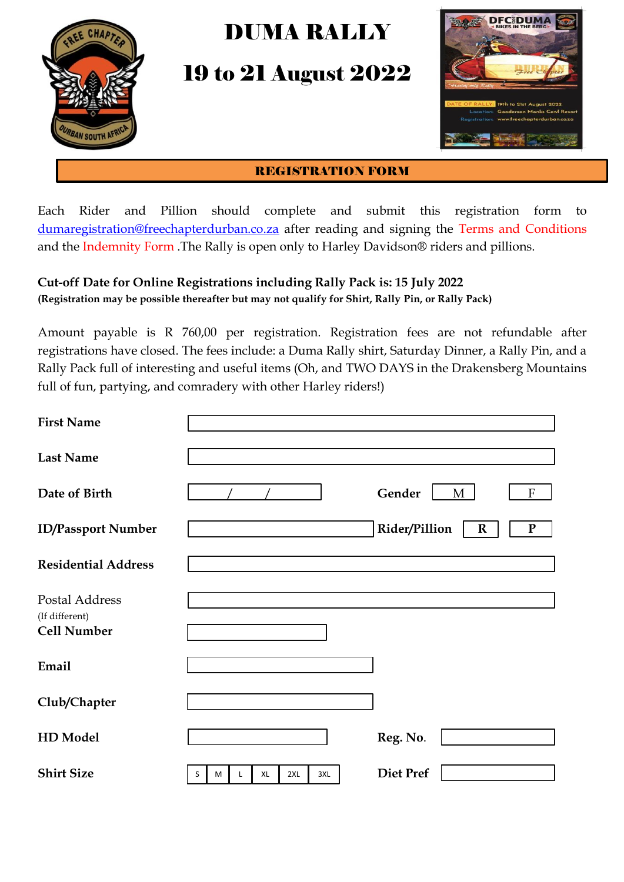

## DUMA RALLY

19 to 21 August 2022



#### REGISTRATION FORM

Each Rider and Pillion should complete and submit this registration form to [dumaregistration@freechapterdurban.co.za](mailto:dumaregistration@freechapterdurban.co.za) after reading and signing the Terms and Conditions and the Indemnity Form .The Rally is open only to Harley Davidson® riders and pillions.

#### **Cut-off Date for Online Registrations including Rally Pack is: 15 July 2022 (Registration may be possible thereafter but may not qualify for Shirt, Rally Pin, or Rally Pack)**

Amount payable is R 760,00 per registration. Registration fees are not refundable after registrations have closed. The fees include: a Duma Rally shirt, Saturday Dinner, a Rally Pin, and a Rally Pack full of interesting and useful items (Oh, and TWO DAYS in the Drakensberg Mountains full of fun, partying, and comradery with other Harley riders!)

| <b>First Name</b>                                      |                            |                                       |
|--------------------------------------------------------|----------------------------|---------------------------------------|
| <b>Last Name</b>                                       |                            |                                       |
| Date of Birth                                          |                            | Gender<br>M<br>F                      |
| <b>ID/Passport Number</b>                              |                            | Rider/Pillion<br>$\bf R$<br>${\bf P}$ |
| <b>Residential Address</b>                             |                            |                                       |
| Postal Address<br>(If different)<br><b>Cell Number</b> |                            |                                       |
| Email                                                  |                            |                                       |
| Club/Chapter                                           |                            |                                       |
| <b>HD</b> Model                                        |                            | Reg. No.                              |
| <b>Shirt Size</b>                                      | 3XL<br>XL<br>2XL<br>S<br>M | <b>Diet Pref</b>                      |

M

L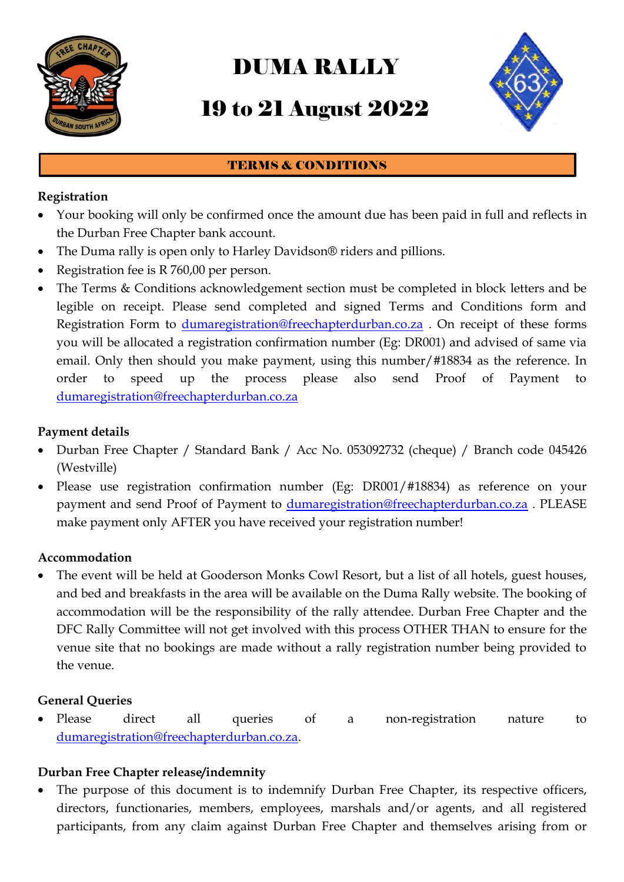

# DUMA RALLY

### 19 to 21 August 2022



#### TERMS & CONDITIONS

#### **Registration**

- Your booking will only be confirmed once the amount due has been paid in full and reflects in the Durban Free Chapter bank account.
- The Duma rally is open only to Harley Davidson® riders and pillions.
- Registration fee is R 760,00 per person.
- The Terms & Conditions acknowledgement section must be completed in block letters and be legible on receipt. Please send completed and signed Terms and Conditions form and Registration Form to [dumaregistration@freechapterdurban.co.za](mailto:dumaregistration@freechapterdurban.co.za) . On receipt of these forms you will be allocated a registration confirmation number (Eg: DR001) and advised of same via email. Only then should you make payment, using this number/#18834 as the reference. In order to speed up the process please also send Proof of Payment to [dumaregistration@freechapterdurban.co.za](mailto:dumaregistration@freechapterdurban.co.za)

#### **Payment details**

- Durban Free Chapter / Standard Bank / Acc No. 053092732 (cheque) / Branch code 045426 (Westville)
- Please use registration confirmation number (Eg: DR001/#18834) as reference on your payment and send Proof of Payment to [dumaregistration@freechapterdurban.co.za](mailto:dumaregistration@freechapterdurban.co.za) . PLEASE make payment only AFTER you have received your registration number!

#### **Accommodation**

 The event will be held at Gooderson Monks Cowl Resort, but a list of all hotels, guest houses, and bed and breakfasts in the area will be available on the Duma Rally website. The booking of accommodation will be the responsibility of the rally attendee. Durban Free Chapter and the DFC Rally Committee will not get involved with this process OTHER THAN to ensure for the venue site that no bookings are made without a rally registration number being provided to the venue.

#### **General Queries**

 Please direct all queries of a non-registration nature to [dumaregistration@freechapterdurban.co.za.](mailto:dumaregistration@freechapterdurban.co.za)

#### **Durban Free Chapter release/indemnity**

 The purpose of this document is to indemnify Durban Free Chapter, its respective officers, directors, functionaries, members, employees, marshals and/or agents, and all registered participants, from any claim against Durban Free Chapter and themselves arising from or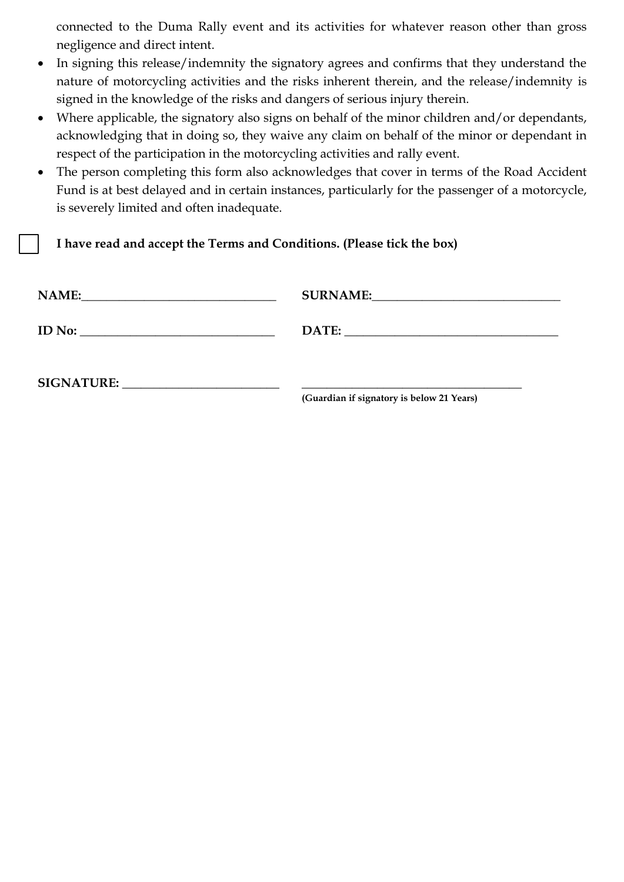connected to the Duma Rally event and its activities for whatever reason other than gross negligence and direct intent.

- In signing this release/indemnity the signatory agrees and confirms that they understand the nature of motorcycling activities and the risks inherent therein, and the release/indemnity is signed in the knowledge of the risks and dangers of serious injury therein.
- Where applicable, the signatory also signs on behalf of the minor children and/or dependants, acknowledging that in doing so, they waive any claim on behalf of the minor or dependant in respect of the participation in the motorcycling activities and rally event.
- The person completing this form also acknowledges that cover in terms of the Road Accident Fund is at best delayed and in certain instances, particularly for the passenger of a motorcycle, is severely limited and often inadequate.

**I have read and accept the Terms and Conditions. (Please tick the box)**

| <b>NAME:</b>      | <b>SURNAME:</b>                                                                 |
|-------------------|---------------------------------------------------------------------------------|
|                   |                                                                                 |
| <b>ID</b> No:     | DATE:                                                                           |
|                   | the contract of the contract of the contract of the contract of the contract of |
| <b>SIGNATURE:</b> |                                                                                 |

**(Guardian if signatory is below 21 Years)**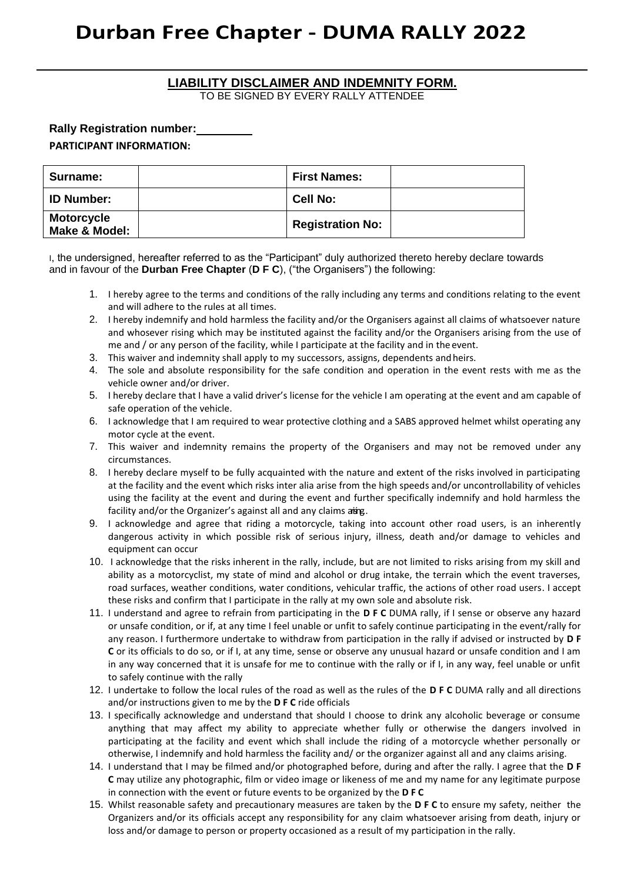### **Durban Free Chapter - DUMA RALLY 2022**

### **LIABILITY DISCLAIMER AND INDEMNITY FORM.**

TO BE SIGNED BY EVERY RALLY ATTENDEE

**Rally Registration number:**

#### **PARTICIPANT INFORMATION:**

| Surname:                           | <b>First Names:</b>     |  |
|------------------------------------|-------------------------|--|
| <b>ID Number:</b>                  | <b>Cell No:</b>         |  |
| <b>Motorcycle</b><br>Make & Model: | <b>Registration No:</b> |  |

I, the undersigned, hereafter referred to as the "Participant" duly authorized thereto hereby declare towards and in favour of the **Durban Free Chapter** (**D F C**), ("the Organisers") the following:

- 1. I hereby agree to the terms and conditions of the rally including any terms and conditions relating to the event and will adhere to the rules at all times.
- 2. I hereby indemnify and hold harmless the facility and/or the Organisers against all claims of whatsoever nature and whosever rising which may be instituted against the facility and/or the Organisers arising from the use of me and / or any person of the facility, while I participate at the facility and in the event.
- 3. This waiver and indemnity shall apply to my successors, assigns, dependents andheirs.
- 4. The sole and absolute responsibility for the safe condition and operation in the event rests with me as the vehicle owner and/or driver.
- 5. I hereby declare that I have a valid driver's license for the vehicle I am operating at the event and am capable of safe operation of the vehicle.
- 6. I acknowledge that I am required to wear protective clothing and a SABS approved helmet whilst operating any motor cycle at the event.
- 7. This waiver and indemnity remains the property of the Organisers and may not be removed under any circumstances.
- 8. I hereby declare myself to be fully acquainted with the nature and extent of the risks involved in participating at the facility and the event which risks inter alia arise from the high speeds and/or uncontrollability of vehicles using the facility at the event and during the event and further specifically indemnify and hold harmless the facility and/or the Organizer's against all and any claims aring.
- 9. I acknowledge and agree that riding a motorcycle, taking into account other road users, is an inherently dangerous activity in which possible risk of serious injury, illness, death and/or damage to vehicles and equipment can occur
- 10. I acknowledge that the risks inherent in the rally, include, but are not limited to risks arising from my skill and ability as a motorcyclist, my state of mind and alcohol or drug intake, the terrain which the event traverses, road surfaces, weather conditions, water conditions, vehicular traffic, the actions of other road users. I accept these risks and confirm that I participate in the rally at my own sole and absolute risk.
- 11. I understand and agree to refrain from participating in the **D F C** DUMA rally, if I sense or observe any hazard or unsafe condition, or if, at any time I feel unable or unfit to safely continue participating in the event/rally for any reason. I furthermore undertake to withdraw from participation in the rally if advised or instructed by **D F C** or its officials to do so, or if I, at any time, sense or observe any unusual hazard or unsafe condition and I am in any way concerned that it is unsafe for me to continue with the rally or if I, in any way, feel unable or unfit to safely continue with the rally
- 12. I undertake to follow the local rules of the road as well as the rules of the **D F C** DUMA rally and all directions and/or instructions given to me by the **D F C** ride officials
- 13. I specifically acknowledge and understand that should I choose to drink any alcoholic beverage or consume anything that may affect my ability to appreciate whether fully or otherwise the dangers involved in participating at the facility and event which shall include the riding of a motorcycle whether personally or otherwise, I indemnify and hold harmless the facility and/ or the organizer against all and any claims arising.
- 14. I understand that I may be filmed and/or photographed before, during and after the rally. I agree that the **D F C** may utilize any photographic, film or video image or likeness of me and my name for any legitimate purpose in connection with the event or future events to be organized by the **D F C**
- 15. Whilst reasonable safety and precautionary measures are taken by the **D F C** to ensure my safety, neither the Organizers and/or its officials accept any responsibility for any claim whatsoever arising from death, injury or loss and/or damage to person or property occasioned as a result of my participation in the rally.